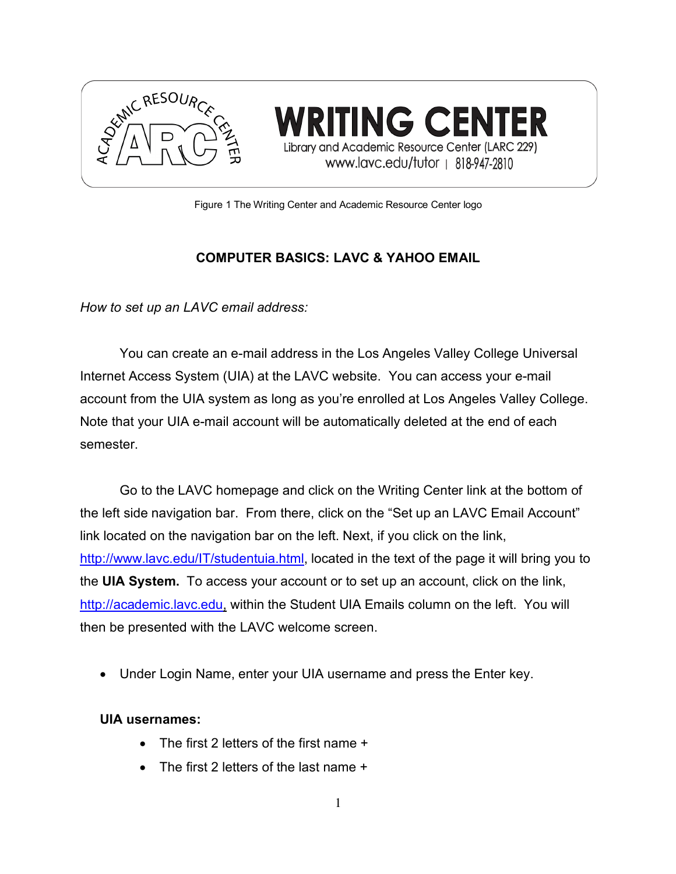

ING CENI Library and Academic Resource Center (LARC 229) www.lavc.edu/tutor | 818-947-2810

Figure 1 The Writing Center and Academic Resource Center logo

#### **COMPUTER BASICS: LAVC & YAHOO EMAIL**

*How to set up an LAVC email address:*

You can create an e-mail address in the Los Angeles Valley College Universal Internet Access System (UIA) at the LAVC website. You can access your e-mail account from the UIA system as long as you're enrolled at Los Angeles Valley College. Note that your UIA e-mail account will be automatically deleted at the end of each semester.

Go to the LAVC homepage and click on the Writing Center link at the bottom of the left side navigation bar. From there, click on the "Set up an LAVC Email Account" link located on the navigation bar on the left. Next, if you click on the link, http://www.lavc.edu/IT/studentuia.html, located in the text of the page it will bring you to the **UIA System.** To access your account or to set up an account, click on the link, http://academic.lavc.edu, within the Student UIA Emails column on the left. You will then be presented with the LAVC welcome screen.

• Under Login Name, enter your UIA username and press the Enter key.

#### **UIA usernames:**

- The first 2 letters of the first name +
- The first 2 letters of the last name +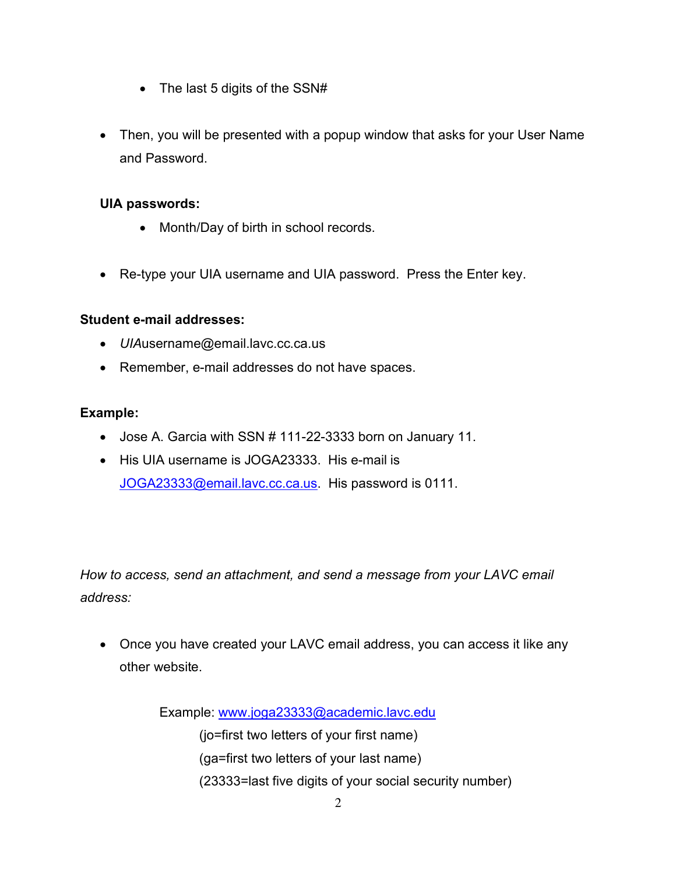- The last 5 digits of the SSN#
- Then, you will be presented with a popup window that asks for your User Name and Password.

#### **UIA passwords:**

- Month/Day of birth in school records.
- Re-type your UIA username and UIA password. Press the Enter key.

#### **Student e-mail addresses:**

- *UIA*username@email.lavc.cc.ca.us
- Remember, e-mail addresses do not have spaces.

#### **Example:**

- Jose A. Garcia with SSN # 111-22-3333 born on January 11.
- His UIA username is JOGA23333. His e-mail is JOGA23333@email.lavc.cc.ca.us. His password is 0111.

*How to access, send an attachment, and send a message from your LAVC email address:*

• Once you have created your LAVC email address, you can access it like any other website.

Example: www.joga23333@academic.lavc.edu

(jo=first two letters of your first name)

- (ga=first two letters of your last name)
- (23333=last five digits of your social security number)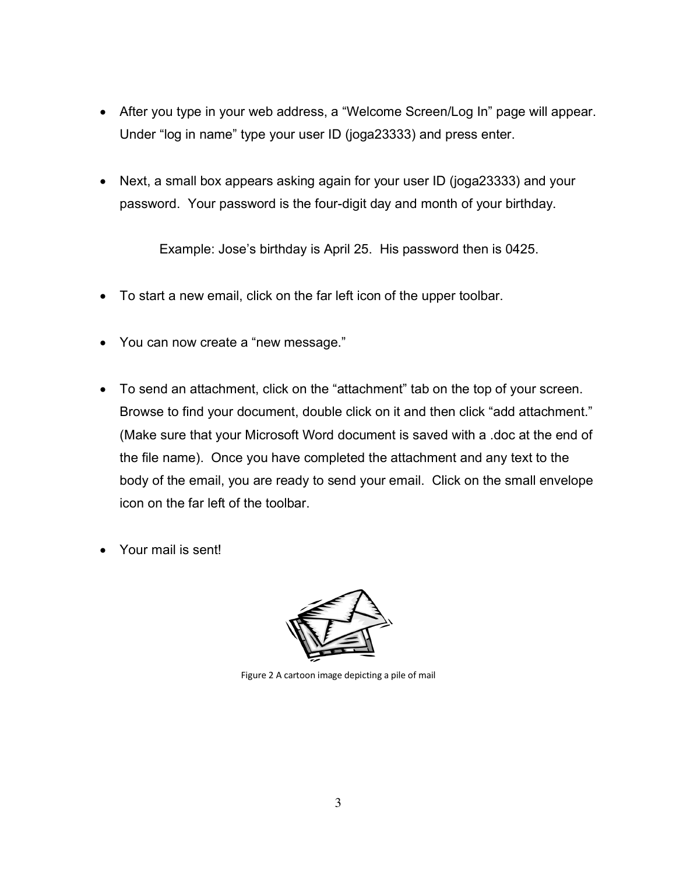- After you type in your web address, a "Welcome Screen/Log In" page will appear. Under "log in name" type your user ID (joga23333) and press enter.
- Next, a small box appears asking again for your user ID (joga23333) and your password. Your password is the four-digit day and month of your birthday.

Example: Jose's birthday is April 25. His password then is 0425.

- To start a new email, click on the far left icon of the upper toolbar.
- You can now create a "new message."
- To send an attachment, click on the "attachment" tab on the top of your screen. Browse to find your document, double click on it and then click "add attachment." (Make sure that your Microsoft Word document is saved with a .doc at the end of the file name). Once you have completed the attachment and any text to the body of the email, you are ready to send your email. Click on the small envelope icon on the far left of the toolbar.
- Your mail is sent!



Figure 2 A cartoon image depicting a pile of mail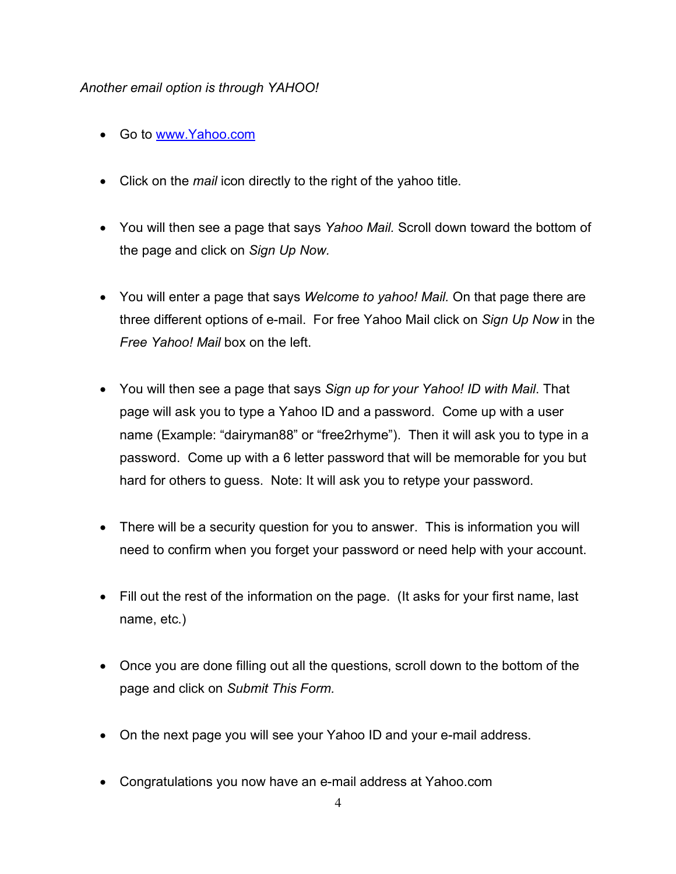#### *Another email option is through YAHOO!*

- Go to www.Yahoo.com
- Click on the *mail* icon directly to the right of the yahoo title.
- You will then see a page that says *Yahoo Mail.* Scroll down toward the bottom of the page and click on *Sign Up Now.*
- You will enter a page that says *Welcome to yahoo! Mail.* On that page there are three different options of e-mail. For free Yahoo Mail click on *Sign Up Now* in the *Free Yahoo! Mail* box on the left.
- You will then see a page that says *Sign up for your Yahoo! ID with Mail*. That page will ask you to type a Yahoo ID and a password. Come up with a user name (Example: "dairyman88" or "free2rhyme"). Then it will ask you to type in a password. Come up with a 6 letter password that will be memorable for you but hard for others to guess. Note: It will ask you to retype your password.
- There will be a security question for you to answer. This is information you will need to confirm when you forget your password or need help with your account.
- Fill out the rest of the information on the page. (It asks for your first name, last name, etc.)
- Once you are done filling out all the questions, scroll down to the bottom of the page and click on *Submit This Form.*
- On the next page you will see your Yahoo ID and your e-mail address.
- Congratulations you now have an e-mail address at Yahoo.com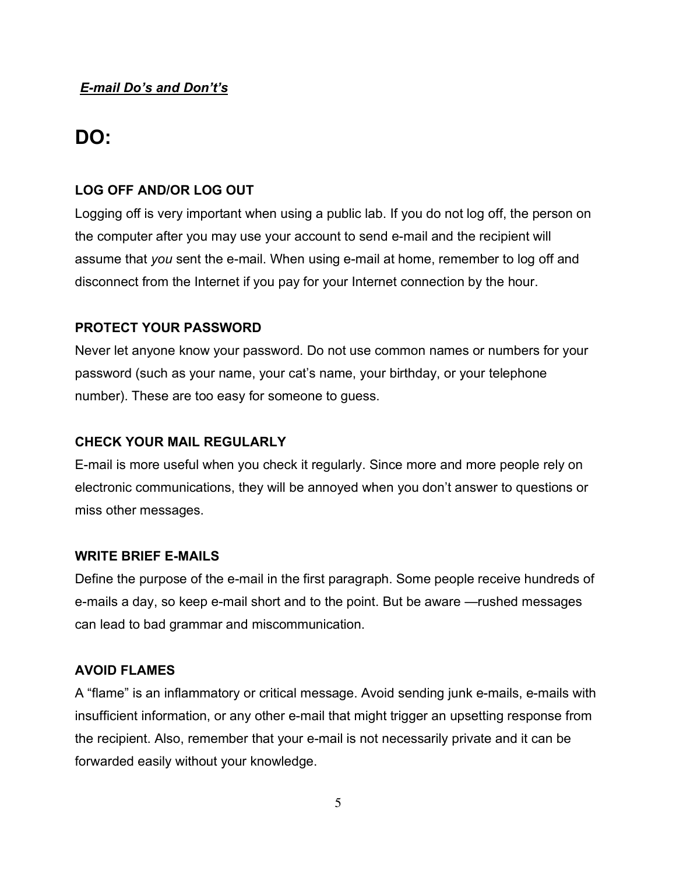# **DO:**

#### **LOG OFF AND/OR LOG OUT**

Logging off is very important when using a public lab. If you do not log off, the person on the computer after you may use your account to send e-mail and the recipient will assume that *you* sent the e-mail. When using e-mail at home, remember to log off and disconnect from the Internet if you pay for your Internet connection by the hour.

#### **PROTECT YOUR PASSWORD**

Never let anyone know your password. Do not use common names or numbers for your password (such as your name, your cat's name, your birthday, or your telephone number). These are too easy for someone to guess.

#### **CHECK YOUR MAIL REGULARLY**

E-mail is more useful when you check it regularly. Since more and more people rely on electronic communications, they will be annoyed when you don't answer to questions or miss other messages.

#### **WRITE BRIEF E-MAILS**

Define the purpose of the e-mail in the first paragraph. Some people receive hundreds of e-mails a day, so keep e-mail short and to the point. But be aware —rushed messages can lead to bad grammar and miscommunication.

#### **AVOID FLAMES**

A "flame" is an inflammatory or critical message. Avoid sending junk e-mails, e-mails with insufficient information, or any other e-mail that might trigger an upsetting response from the recipient. Also, remember that your e-mail is not necessarily private and it can be forwarded easily without your knowledge.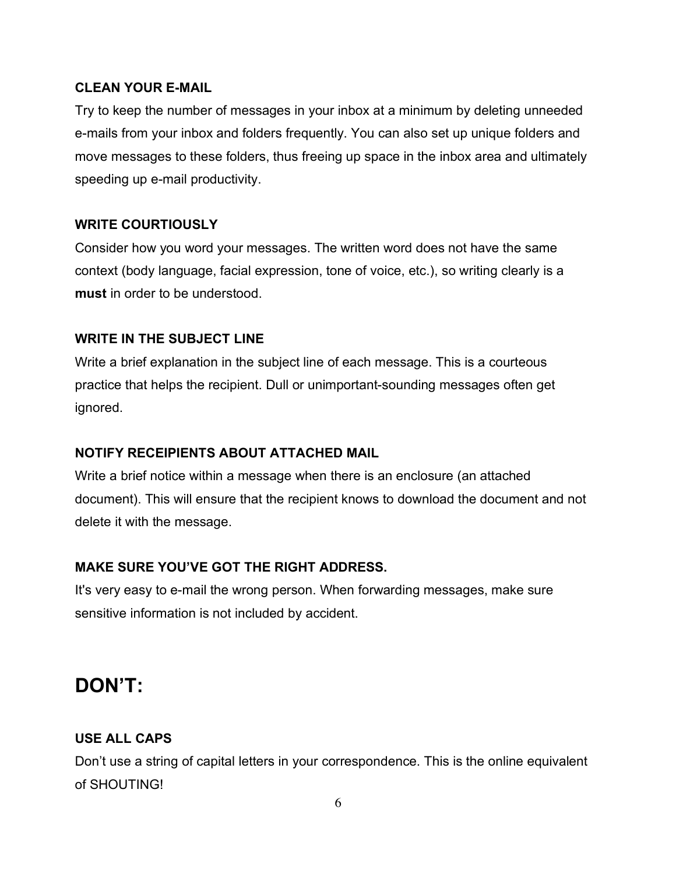#### **CLEAN YOUR E-MAIL**

Try to keep the number of messages in your inbox at a minimum by deleting unneeded e-mails from your inbox and folders frequently. You can also set up unique folders and move messages to these folders, thus freeing up space in the inbox area and ultimately speeding up e-mail productivity.

## **WRITE COURTIOUSLY**

Consider how you word your messages. The written word does not have the same context (body language, facial expression, tone of voice, etc.), so writing clearly is a **must** in order to be understood.

## **WRITE IN THE SUBJECT LINE**

Write a brief explanation in the subject line of each message. This is a courteous practice that helps the recipient. Dull or unimportant-sounding messages often get ignored.

## **NOTIFY RECEIPIENTS ABOUT ATTACHED MAIL**

Write a brief notice within a message when there is an enclosure (an attached document). This will ensure that the recipient knows to download the document and not delete it with the message.

# **MAKE SURE YOU'VE GOT THE RIGHT ADDRESS.**

It's very easy to e-mail the wrong person. When forwarding messages, make sure sensitive information is not included by accident.

# **DON'T:**

# **USE ALL CAPS**

Don't use a string of capital letters in your correspondence. This is the online equivalent of SHOUTING!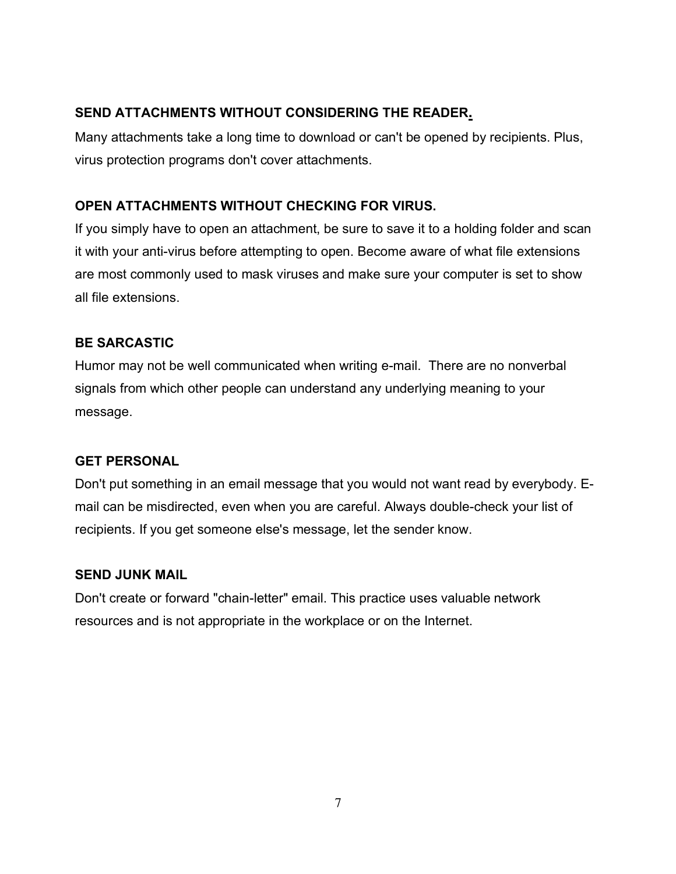#### **SEND ATTACHMENTS WITHOUT CONSIDERING THE READER.**

Many attachments take a long time to download or can't be opened by recipients. Plus, virus protection programs don't cover attachments.

# **OPEN ATTACHMENTS WITHOUT CHECKING FOR VIRUS.**

If you simply have to open an attachment, be sure to save it to a holding folder and scan it with your anti-virus before attempting to open. Become aware of what file extensions are most commonly used to mask viruses and make sure your computer is set to show all file extensions.

## **BE SARCASTIC**

Humor may not be well communicated when writing e-mail. There are no nonverbal signals from which other people can understand any underlying meaning to your message.

## **GET PERSONAL**

Don't put something in an email message that you would not want read by everybody. Email can be misdirected, even when you are careful. Always double-check your list of recipients. If you get someone else's message, let the sender know.

## **SEND JUNK MAIL**

Don't create or forward "chain-letter" email. This practice uses valuable network resources and is not appropriate in the workplace or on the Internet.